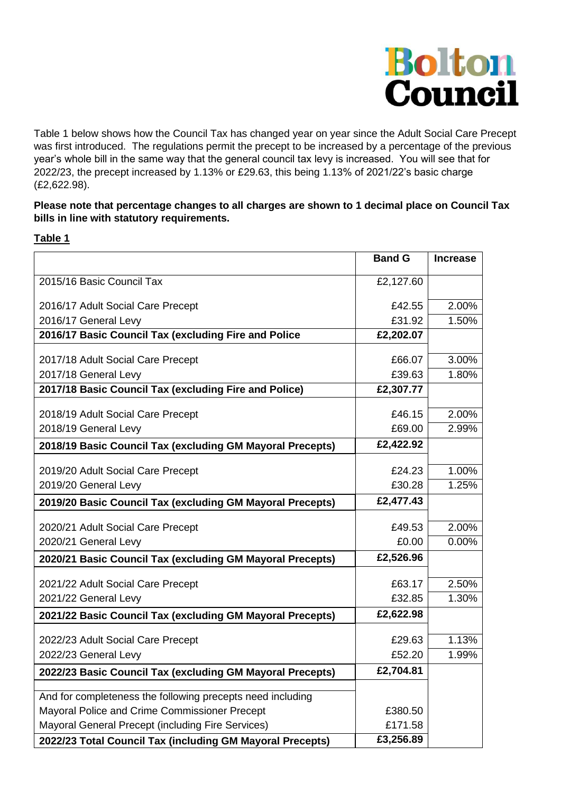

Table 1 below shows how the Council Tax has changed year on year since the Adult Social Care Precept was first introduced. The regulations permit the precept to be increased by a percentage of the previous year's whole bill in the same way that the general council tax levy is increased. You will see that for 2022/23, the precept increased by 1.13% or £29.63, this being 1.13% of 2021/22's basic charge (£2,622.98).

## **Please note that percentage changes to all charges are shown to 1 decimal place on Council Tax bills in line with statutory requirements.**

## **Table 1**

|                                                            | <b>Band G</b>        | <b>Increase</b> |
|------------------------------------------------------------|----------------------|-----------------|
| 2015/16 Basic Council Tax                                  | £2,127.60            |                 |
|                                                            |                      |                 |
| 2016/17 Adult Social Care Precept                          | £42.55               | 2.00%           |
| 2016/17 General Levy                                       | £31.92               | 1.50%           |
| 2016/17 Basic Council Tax (excluding Fire and Police       | £2,202.07            |                 |
| 2017/18 Adult Social Care Precept                          | £66.07               | 3.00%           |
| 2017/18 General Levy                                       | £39.63               | 1.80%           |
| 2017/18 Basic Council Tax (excluding Fire and Police)      | £2,307.77            |                 |
| 2018/19 Adult Social Care Precept                          | £46.15               | 2.00%           |
| 2018/19 General Levy                                       | £69.00               | 2.99%           |
| 2018/19 Basic Council Tax (excluding GM Mayoral Precepts)  | £2,422.92            |                 |
|                                                            |                      |                 |
| 2019/20 Adult Social Care Precept                          | £24.23               | 1.00%           |
| 2019/20 General Levy                                       | £30.28               | 1.25%           |
| 2019/20 Basic Council Tax (excluding GM Mayoral Precepts)  | £2,477.43            |                 |
| 2020/21 Adult Social Care Precept                          | £49.53               | 2.00%           |
| 2020/21 General Levy                                       | £0.00                | 0.00%           |
| 2020/21 Basic Council Tax (excluding GM Mayoral Precepts)  | £2,526.96            |                 |
|                                                            |                      |                 |
| 2021/22 Adult Social Care Precept                          | £63.17               | 2.50%           |
| 2021/22 General Levy                                       | £32.85               | 1.30%           |
| 2021/22 Basic Council Tax (excluding GM Mayoral Precepts)  | £2,622.98            |                 |
| 2022/23 Adult Social Care Precept                          | £29.63               | 1.13%           |
| 2022/23 General Levy                                       | £52.20               | 1.99%           |
| 2022/23 Basic Council Tax (excluding GM Mayoral Precepts)  | £2,704.81            |                 |
|                                                            |                      |                 |
| And for completeness the following precepts need including |                      |                 |
| Mayoral Police and Crime Commissioner Precept              | £380.50              |                 |
| Mayoral General Precept (including Fire Services)          | £171.58<br>£3,256.89 |                 |
| 2022/23 Total Council Tax (including GM Mayoral Precepts)  |                      |                 |